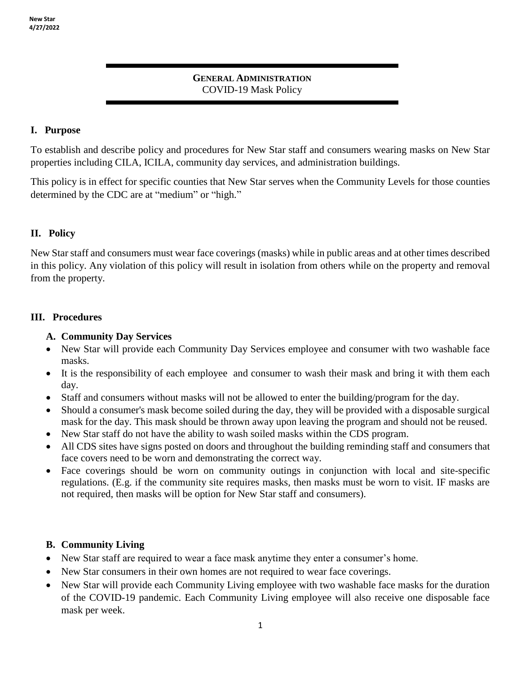### **GENERAL ADMINISTRATION** COVID-19 Mask Policy

## **I. Purpose**

To establish and describe policy and procedures for New Star staff and consumers wearing masks on New Star properties including CILA, ICILA, community day services, and administration buildings.

This policy is in effect for specific counties that New Star serves when the Community Levels for those counties determined by the CDC are at "medium" or "high."

# **II. Policy**

New Star staff and consumers must wear face coverings (masks) while in public areas and at other times described in this policy. Any violation of this policy will result in isolation from others while on the property and removal from the property.

### **III. Procedures**

### **A. Community Day Services**

- New Star will provide each Community Day Services employee and consumer with two washable face masks.
- It is the responsibility of each employee and consumer to wash their mask and bring it with them each day.
- Staff and consumers without masks will not be allowed to enter the building/program for the day.
- Should a consumer's mask become soiled during the day, they will be provided with a disposable surgical mask for the day. This mask should be thrown away upon leaving the program and should not be reused.
- New Star staff do not have the ability to wash soiled masks within the CDS program.
- All CDS sites have signs posted on doors and throughout the building reminding staff and consumers that face covers need to be worn and demonstrating the correct way.
- Face coverings should be worn on community outings in conjunction with local and site-specific regulations. (E.g. if the community site requires masks, then masks must be worn to visit. IF masks are not required, then masks will be option for New Star staff and consumers).

# **B. Community Living**

- New Star staff are required to wear a face mask anytime they enter a consumer's home.
- New Star consumers in their own homes are not required to wear face coverings.
- New Star will provide each Community Living employee with two washable face masks for the duration of the COVID-19 pandemic. Each Community Living employee will also receive one disposable face mask per week.